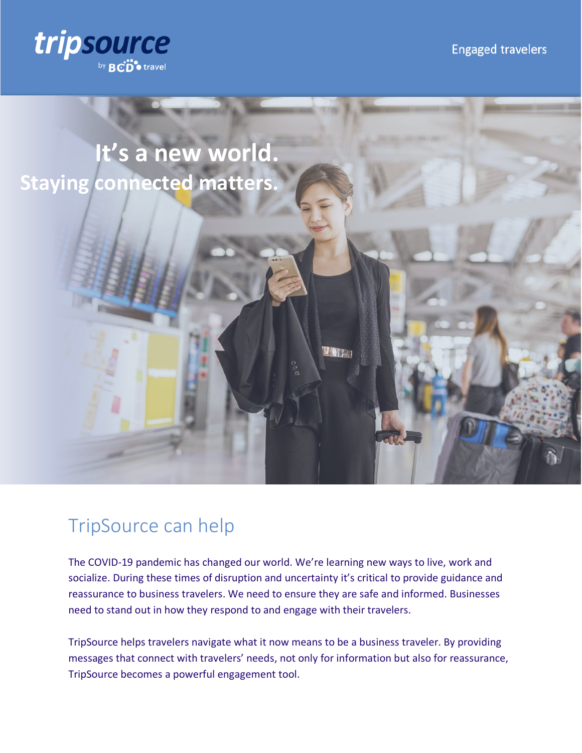



# TripSource can help

The COVID-19 pandemic has changed our world. We're learning new ways to live, work and socialize. During these times of disruption and uncertainty it's critical to provide guidance and reassurance to business travelers. We need to ensure they are safe and informed. Businesses need to stand out in how they respond to and engage with their travelers.

TripSource helps travelers navigate what it now means to be a business traveler. By providing messages that connect with travelers' needs, not only for information but also for reassurance, TripSource becomes a powerful engagement tool.